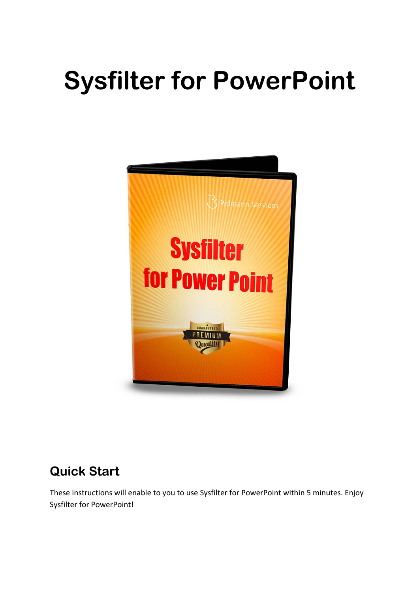# **Sysfilter for PowerPoint**



# **Quick Start**

These instructions will enable to you to use Sysfilter for PowerPoint within 5 minutes. Enjoy Sysfilter for PowerPoint!